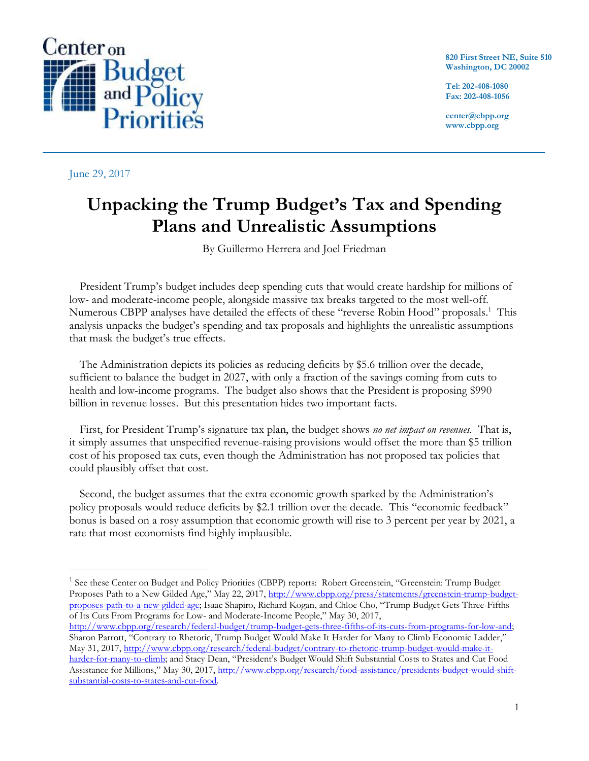

June 29, 2017

 $\overline{a}$ 

**820 First Street NE, Suite 510 Washington, DC 20002**

**Tel: 202-408-1080 Fax: 202-408-1056**

**center@cbpp.org www.cbpp.org**

# **Unpacking the Trump Budget's Tax and Spending Plans and Unrealistic Assumptions**

By Guillermo Herrera and Joel Friedman

President Trump's budget includes deep spending cuts that would create hardship for millions of low- and moderate-income people, alongside massive tax breaks targeted to the most well-off. Numerous CBPP analyses have detailed the effects of these "reverse Robin Hood" proposals.<sup>1</sup> This analysis unpacks the budget's spending and tax proposals and highlights the unrealistic assumptions that mask the budget's true effects.

The Administration depicts its policies as reducing deficits by \$5.6 trillion over the decade, sufficient to balance the budget in 2027, with only a fraction of the savings coming from cuts to health and low-income programs. The budget also shows that the President is proposing \$990 billion in revenue losses. But this presentation hides two important facts.

First, for President Trump's signature tax plan, the budget shows *no net impact on revenues.* That is, it simply assumes that unspecified revenue-raising provisions would offset the more than \$5 trillion cost of his proposed tax cuts, even though the Administration has not proposed tax policies that could plausibly offset that cost.

Second, the budget assumes that the extra economic growth sparked by the Administration's policy proposals would reduce deficits by \$2.1 trillion over the decade. This "economic feedback" bonus is based on a rosy assumption that economic growth will rise to 3 percent per year by 2021, a rate that most economists find highly implausible.

<sup>&</sup>lt;sup>1</sup> See these Center on Budget and Policy Priorities (CBPP) reports: Robert Greenstein, "Greenstein: Trump Budget Proposes Path to a New Gilded Age," May 22, 2017, [http://www.cbpp.org/press/statements/greenstein-trump-budget](http://www.cbpp.org/press/statements/greenstein-trump-budget-proposes-path-to-a-new-gilded-age)[proposes-path-to-a-new-gilded-age;](http://www.cbpp.org/press/statements/greenstein-trump-budget-proposes-path-to-a-new-gilded-age) Isaac Shapiro, Richard Kogan, and Chloe Cho, "Trump Budget Gets Three-Fifths of Its Cuts From Programs for Low- and Moderate-Income People," May 30, 2017,

[http://www.cbpp.org/research/federal-budget/trump-budget-gets-three-fifths-of-its-cuts-from-programs-for-low-and;](http://www.cbpp.org/research/federal-budget/trump-budget-gets-three-fifths-of-its-cuts-from-programs-for-low-and) Sharon Parrott, "Contrary to Rhetoric, Trump Budget Would Make It Harder for Many to Climb Economic Ladder," May 31, 2017[, http://www.cbpp.org/research/federal-budget/contrary-to-rhetoric-trump-budget-would-make-it](http://www.cbpp.org/research/federal-budget/contrary-to-rhetoric-trump-budget-would-make-it-harder-for-many-to-climb)[harder-for-many-to-climb;](http://www.cbpp.org/research/federal-budget/contrary-to-rhetoric-trump-budget-would-make-it-harder-for-many-to-climb) and Stacy Dean, "President's Budget Would Shift Substantial Costs to States and Cut Food Assistance for Millions," May 30, 2017, [http://www.cbpp.org/research/food-assistance/presidents-budget-would-shift](http://www.cbpp.org/research/food-assistance/presidents-budget-would-shift-substantial-costs-to-states-and-cut-food)[substantial-costs-to-states-and-cut-food.](http://www.cbpp.org/research/food-assistance/presidents-budget-would-shift-substantial-costs-to-states-and-cut-food)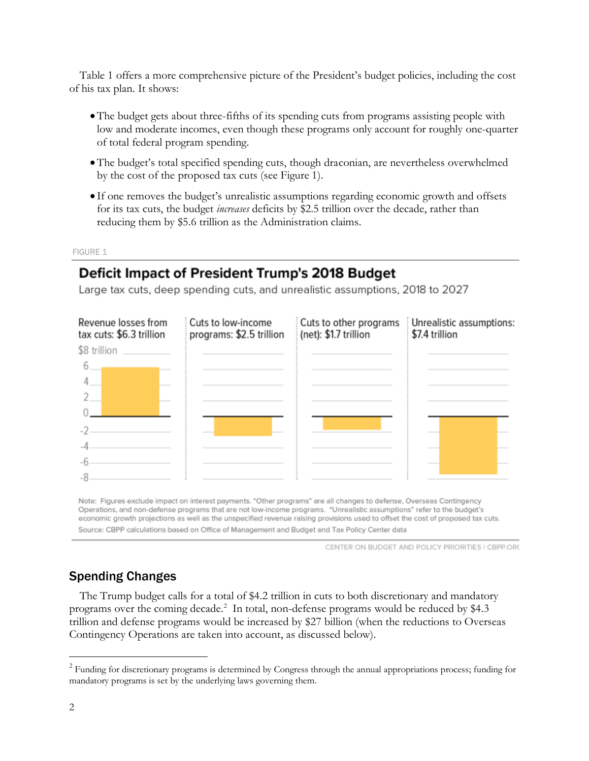Table 1 offers a more comprehensive picture of the President's budget policies, including the cost of his tax plan. It shows:

- •The budget gets about three-fifths of its spending cuts from programs assisting people with low and moderate incomes, even though these programs only account for roughly one-quarter of total federal program spending.
- •The budget's total specified spending cuts, though draconian, are nevertheless overwhelmed by the cost of the proposed tax cuts (see Figure 1).
- If one removes the budget's unrealistic assumptions regarding economic growth and offsets for its tax cuts, the budget *increases* deficits by \$2.5 trillion over the decade, rather than reducing them by \$5.6 trillion as the Administration claims.

FIGURE 1

## Deficit Impact of President Trump's 2018 Budget

Large tax cuts, deep spending cuts, and unrealistic assumptions, 2018 to 2027



Note: Figures exclude impact on interest payments. "Other programs" are all changes to defense, Overseas Contingency Operations, and non-defense programs that are not low-income programs. "Unrealistic assumptions" refer to the budget's economic growth projections as well as the unspecified revenue raising provisions used to offset the cost of proposed tax cuts. Source: CBPP calculations based on Office of Management and Budget and Tax Policy Center data

CENTER ON BUDGET AND POLICY PRIORITIES I CBPP.ORG

### Spending Changes

The Trump budget calls for a total of \$4.2 trillion in cuts to both discretionary and mandatory programs over the coming decade.<sup>2</sup> In total, non-defense programs would be reduced by \$4.3 trillion and defense programs would be increased by \$27 billion (when the reductions to Overseas Contingency Operations are taken into account, as discussed below).

<sup>&</sup>lt;sup>2</sup> Funding for discretionary programs is determined by Congress through the annual appropriations process; funding for mandatory programs is set by the underlying laws governing them.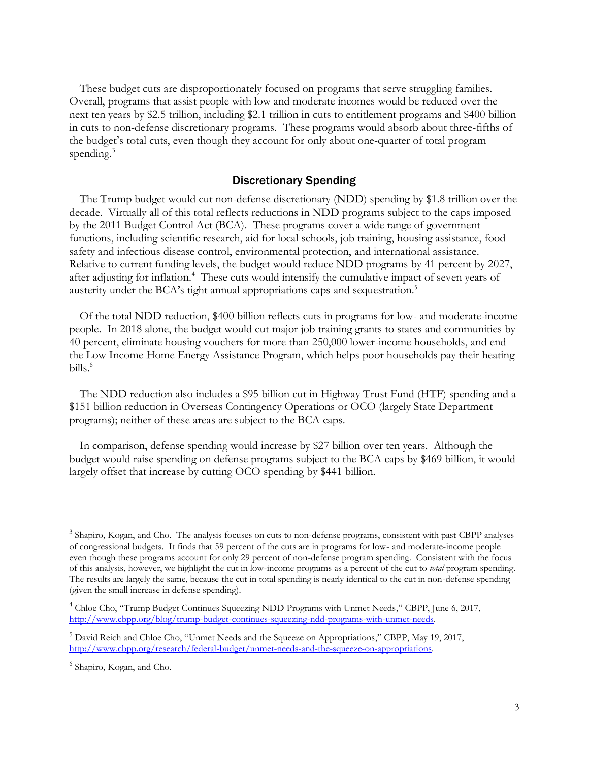These budget cuts are disproportionately focused on programs that serve struggling families. Overall, programs that assist people with low and moderate incomes would be reduced over the next ten years by \$2.5 trillion, including \$2.1 trillion in cuts to entitlement programs and \$400 billion in cuts to non-defense discretionary programs. These programs would absorb about three-fifths of the budget's total cuts, even though they account for only about one-quarter of total program spending.<sup>3</sup>

#### Discretionary Spending

The Trump budget would cut non-defense discretionary (NDD) spending by \$1.8 trillion over the decade. Virtually all of this total reflects reductions in NDD programs subject to the caps imposed by the 2011 Budget Control Act (BCA). These programs cover a wide range of government functions, including scientific research, aid for local schools, job training, housing assistance, food safety and infectious disease control, environmental protection, and international assistance. Relative to current funding levels, the budget would reduce NDD programs by 41 percent by 2027, after adjusting for inflation.<sup>4</sup> These cuts would intensify the cumulative impact of seven years of austerity under the BCA's tight annual appropriations caps and sequestration.<sup>5</sup>

Of the total NDD reduction, \$400 billion reflects cuts in programs for low- and moderate-income people. In 2018 alone, the budget would cut major job training grants to states and communities by 40 percent, eliminate housing vouchers for more than 250,000 lower-income households, and end the Low Income Home Energy Assistance Program, which helps poor households pay their heating bills.<sup>6</sup>

The NDD reduction also includes a \$95 billion cut in Highway Trust Fund (HTF) spending and a \$151 billion reduction in Overseas Contingency Operations or OCO (largely State Department programs); neither of these areas are subject to the BCA caps.

In comparison, defense spending would increase by \$27 billion over ten years. Although the budget would raise spending on defense programs subject to the BCA caps by \$469 billion, it would largely offset that increase by cutting OCO spending by \$441 billion.

<sup>&</sup>lt;sup>3</sup> Shapiro, Kogan, and Cho. The analysis focuses on cuts to non-defense programs, consistent with past CBPP analyses of congressional budgets. It finds that 59 percent of the cuts are in programs for low- and moderate-income people even though these programs account for only 29 percent of non-defense program spending. Consistent with the focus of this analysis, however, we highlight the cut in low-income programs as a percent of the cut to *total* program spending. The results are largely the same, because the cut in total spending is nearly identical to the cut in non-defense spending (given the small increase in defense spending).

<sup>&</sup>lt;sup>4</sup> Chloe Cho, "Trump Budget Continues Squeezing NDD Programs with Unmet Needs," CBPP, June 6, 2017, [http://www.cbpp.org/blog/trump-budget-continues-squeezing-ndd-programs-with-unmet-needs.](http://www.cbpp.org/blog/trump-budget-continues-squeezing-ndd-programs-with-unmet-needs)

<sup>5</sup> David Reich and Chloe Cho, "Unmet Needs and the Squeeze on Appropriations," CBPP, May 19, 2017, [http://www.cbpp.org/research/federal-budget/unmet-needs-and-the-squeeze-on-appropriations.](http://www.cbpp.org/research/federal-budget/unmet-needs-and-the-squeeze-on-appropriations)

<sup>6</sup> Shapiro, Kogan, and Cho.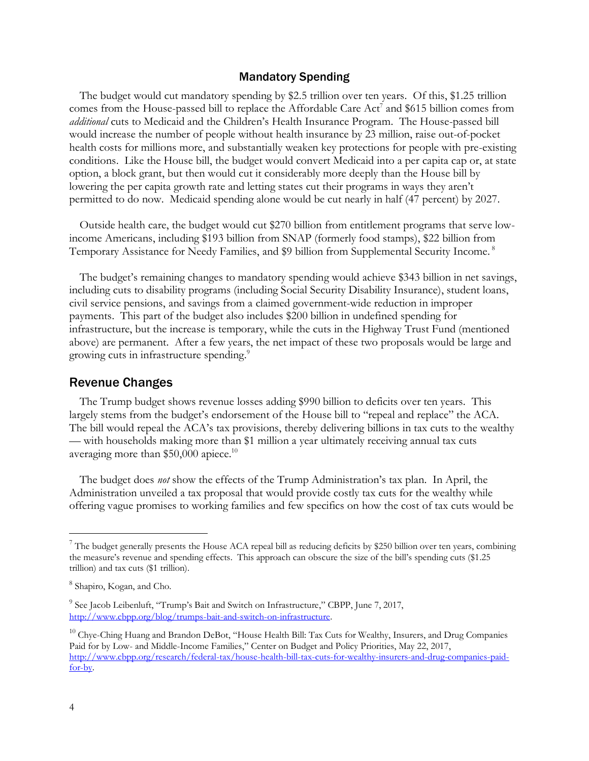#### Mandatory Spending

The budget would cut mandatory spending by \$2.5 trillion over ten years. Of this, \$1.25 trillion comes from the House-passed bill to replace the Affordable Care Act<sup>7</sup> and \$615 billion comes from *additional* cuts to Medicaid and the Children's Health Insurance Program. The House-passed bill would increase the number of people without health insurance by 23 million, raise out-of-pocket health costs for millions more, and substantially weaken key protections for people with pre-existing conditions. Like the House bill, the budget would convert Medicaid into a per capita cap or, at state option, a block grant, but then would cut it considerably more deeply than the House bill by lowering the per capita growth rate and letting states cut their programs in ways they aren't permitted to do now. Medicaid spending alone would be cut nearly in half (47 percent) by 2027.

Outside health care, the budget would cut \$270 billion from entitlement programs that serve lowincome Americans, including \$193 billion from SNAP (formerly food stamps), \$22 billion from Temporary Assistance for Needy Families, and \$9 billion from Supplemental Security Income.<sup>8</sup>

The budget's remaining changes to mandatory spending would achieve \$343 billion in net savings, including cuts to disability programs (including Social Security Disability Insurance), student loans, civil service pensions, and savings from a claimed government-wide reduction in improper payments. This part of the budget also includes \$200 billion in undefined spending for infrastructure, but the increase is temporary, while the cuts in the Highway Trust Fund (mentioned above) are permanent. After a few years, the net impact of these two proposals would be large and growing cuts in infrastructure spending.<sup>9</sup>

#### Revenue Changes

The Trump budget shows revenue losses adding \$990 billion to deficits over ten years. This largely stems from the budget's endorsement of the House bill to "repeal and replace" the ACA. The bill would repeal the ACA's tax provisions, thereby delivering billions in tax cuts to the wealthy — with households making more than \$1 million a year ultimately receiving annual tax cuts averaging more than \$50,000 apiece.<sup>10</sup>

The budget does *not* show the effects of the Trump Administration's tax plan. In April, the Administration unveiled a tax proposal that would provide costly tax cuts for the wealthy while offering vague promises to working families and few specifics on how the cost of tax cuts would be

<sup>&</sup>lt;sup>7</sup> The budget generally presents the House ACA repeal bill as reducing deficits by \$250 billion over ten years, combining the measure's revenue and spending effects. This approach can obscure the size of the bill's spending cuts (\$1.25 trillion) and tax cuts (\$1 trillion).

<sup>&</sup>lt;sup>8</sup> Shapiro, Kogan, and Cho.

<sup>&</sup>lt;sup>9</sup> See Jacob Leibenluft, "Trump's Bait and Switch on Infrastructure," CBPP, June 7, 2017, [http://www.cbpp.org/blog/trumps-bait-and-switch-on-infrastructure.](http://www.cbpp.org/blog/trumps-bait-and-switch-on-infrastructure)

<sup>&</sup>lt;sup>10</sup> Chye-Ching Huang and Brandon DeBot, "House Health Bill: Tax Cuts for Wealthy, Insurers, and Drug Companies Paid for by Low- and Middle-Income Families," Center on Budget and Policy Priorities, May 22, 2017, [http://www.cbpp.org/research/federal-tax/house-health-bill-tax-cuts-for-wealthy-insurers-and-drug-companies-paid](http://www.cbpp.org/research/federal-tax/house-health-bill-tax-cuts-for-wealthy-insurers-and-drug-companies-paid-for-by)[for-by.](http://www.cbpp.org/research/federal-tax/house-health-bill-tax-cuts-for-wealthy-insurers-and-drug-companies-paid-for-by)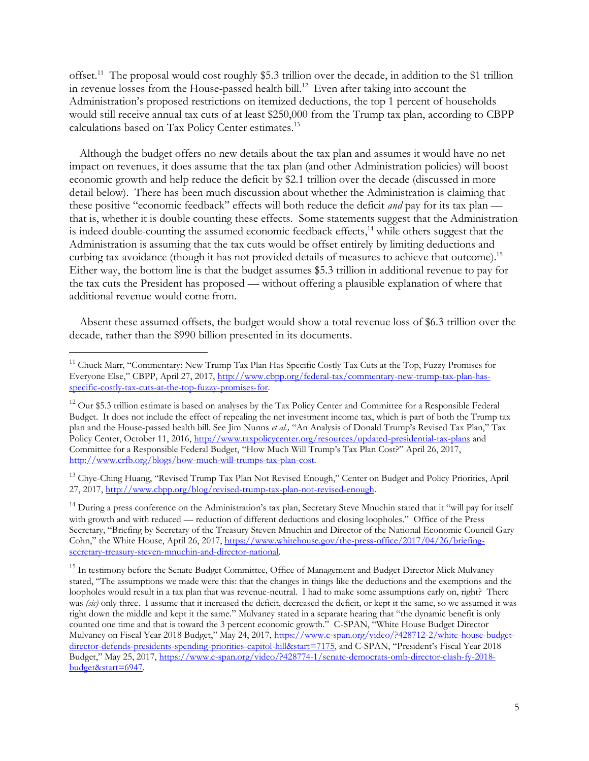offset. 11 The proposal would cost roughly \$5.3 trillion over the decade, in addition to the \$1 trillion in revenue losses from the House-passed health bill. 12 Even after taking into account the Administration's proposed restrictions on itemized deductions, the top 1 percent of households would still receive annual tax cuts of at least \$250,000 from the Trump tax plan, according to CBPP calculations based on Tax Policy Center estimates.<sup>13</sup>

Although the budget offers no new details about the tax plan and assumes it would have no net impact on revenues, it does assume that the tax plan (and other Administration policies) will boost economic growth and help reduce the deficit by \$2.1 trillion over the decade (discussed in more detail below). There has been much discussion about whether the Administration is claiming that these positive "economic feedback" effects will both reduce the deficit *and* pay for its tax plan that is, whether it is double counting these effects. Some statements suggest that the Administration is indeed double-counting the assumed economic feedback effects,<sup>14</sup> while others suggest that the Administration is assuming that the tax cuts would be offset entirely by limiting deductions and curbing tax avoidance (though it has not provided details of measures to achieve that outcome). 15 Either way, the bottom line is that the budget assumes \$5.3 trillion in additional revenue to pay for the tax cuts the President has proposed — without offering a plausible explanation of where that additional revenue would come from.

Absent these assumed offsets, the budget would show a total revenue loss of \$6.3 trillion over the decade, rather than the \$990 billion presented in its documents.

 $\overline{a}$ 

<sup>13</sup> Chye-Ching Huang, "Revised Trump Tax Plan Not Revised Enough," Center on Budget and Policy Priorities, April 27, 2017[, http://www.cbpp.org/blog/revised-trump-tax-plan-not-revised-enough.](http://www.cbpp.org/blog/revised-trump-tax-plan-not-revised-enough)

<sup>14</sup> During a press conference on the Administration's tax plan, Secretary Steve Mnuchin stated that it "will pay for itself with growth and with reduced — reduction of different deductions and closing loopholes." Office of the Press Secretary, "Briefing by Secretary of the Treasury Steven Mnuchin and Director of the National Economic Council Gary Cohn," the White House, April 26, 2017, [https://www.whitehouse.gov/the-press-office/2017/04/26/briefing](https://www.whitehouse.gov/the-press-office/2017/04/26/briefing-secretary-treasury-steven-mnuchin-and-director-national)[secretary-treasury-steven-mnuchin-and-director-national.](https://www.whitehouse.gov/the-press-office/2017/04/26/briefing-secretary-treasury-steven-mnuchin-and-director-national) 

<sup>&</sup>lt;sup>11</sup> Chuck Marr, "Commentary: New Trump Tax Plan Has Specific Costly Tax Cuts at the Top, Fuzzy Promises for Everyone Else," CBPP, April 27, 2017, [http://www.cbpp.org/federal-tax/commentary-new-trump-tax-plan-has](http://www.cbpp.org/federal-tax/commentary-new-trump-tax-plan-has-specific-costly-tax-cuts-at-the-top-fuzzy-promises-for)[specific-costly-tax-cuts-at-the-top-fuzzy-promises-for.](http://www.cbpp.org/federal-tax/commentary-new-trump-tax-plan-has-specific-costly-tax-cuts-at-the-top-fuzzy-promises-for) 

<sup>&</sup>lt;sup>12</sup> Our \$5.3 trillion estimate is based on analyses by the Tax Policy Center and Committee for a Responsible Federal Budget. It does not include the effect of repealing the net investment income tax, which is part of both the Trump tax plan and the House-passed health bill. See Jim Nunns *et al.,* "An Analysis of Donald Trump's Revised Tax Plan," Tax Policy Center, October 11, 2016[, http://www.taxpolicycenter.org/resources/updated-presidential-tax-plans](http://www.taxpolicycenter.org/resources/updated-presidential-tax-plans) and Committee for a Responsible Federal Budget, "How Much Will Trump's Tax Plan Cost?" April 26, 2017, [http://www.crfb.org/blogs/how-much-will-trumps-tax-plan-cost.](http://www.crfb.org/blogs/how-much-will-trumps-tax-plan-cost)

<sup>&</sup>lt;sup>15</sup> In testimony before the Senate Budget Committee, Office of Management and Budget Director Mick Mulvaney stated, "The assumptions we made were this: that the changes in things like the deductions and the exemptions and the loopholes would result in a tax plan that was revenue-neutral. I had to make some assumptions early on, right? There was *(sic)* only three. I assume that it increased the deficit, decreased the deficit, or kept it the same, so we assumed it was right down the middle and kept it the same." Mulvaney stated in a separate hearing that "the dynamic benefit is only counted one time and that is toward the 3 percent economic growth." C-SPAN, "White House Budget Director Mulvaney on Fiscal Year 2018 Budget," May 24, 2017, [https://www.c-span.org/video/?428712-2/white-house-budget](https://www.c-span.org/video/?428712-2/white-house-budget-director-defends-presidents-spending-priorities-capitol-hill&start=7175)[director-defends-presidents-spending-priorities-capitol-hill&start=7175,](https://www.c-span.org/video/?428712-2/white-house-budget-director-defends-presidents-spending-priorities-capitol-hill&start=7175) and C-SPAN, "President's Fiscal Year 2018 Budget," May 25, 2017, [https://www.c-span.org/video/?428774-1/senate-democrats-omb-director-clash-fy-2018](https://www.c-span.org/video/?428774-1/senate-democrats-omb-director-clash-fy-2018-budget&start=6947) [budget&start=6947.](https://www.c-span.org/video/?428774-1/senate-democrats-omb-director-clash-fy-2018-budget&start=6947)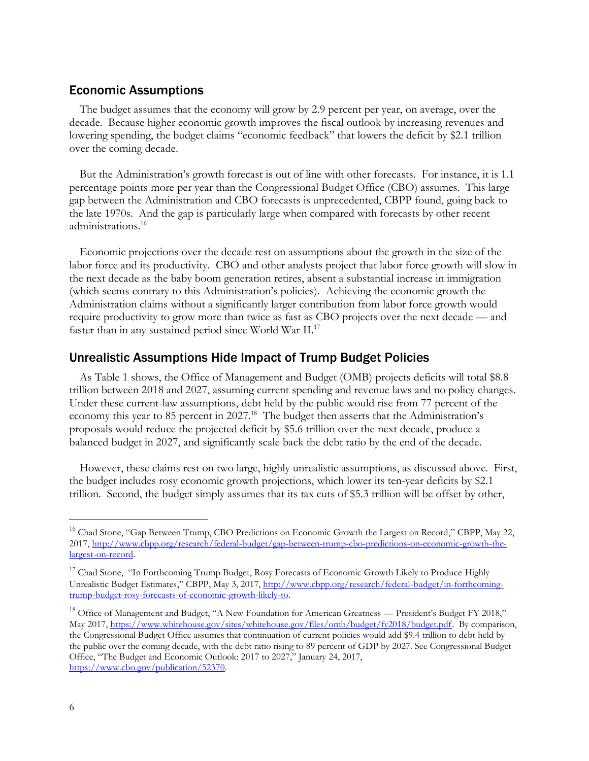#### Economic Assumptions

The budget assumes that the economy will grow by 2.9 percent per year, on average, over the decade. Because higher economic growth improves the fiscal outlook by increasing revenues and lowering spending, the budget claims "economic feedback" that lowers the deficit by \$2.1 trillion over the coming decade.

But the Administration's growth forecast is out of line with other forecasts. For instance, it is 1.1 percentage points more per year than the Congressional Budget Office (CBO) assumes. This large gap between the Administration and CBO forecasts is unprecedented, CBPP found, going back to the late 1970s. And the gap is particularly large when compared with forecasts by other recent administrations. 16

Economic projections over the decade rest on assumptions about the growth in the size of the labor force and its productivity. CBO and other analysts project that labor force growth will slow in the next decade as the baby boom generation retires, absent a substantial increase in immigration (which seems contrary to this Administration's policies). Achieving the economic growth the Administration claims without a significantly larger contribution from labor force growth would require productivity to grow more than twice as fast as CBO projects over the next decade — and faster than in any sustained period since World War II.<sup>17</sup>

#### Unrealistic Assumptions Hide Impact of Trump Budget Policies

As Table 1 shows, the Office of Management and Budget (OMB) projects deficits will total \$8.8 trillion between 2018 and 2027, assuming current spending and revenue laws and no policy changes. Under these current-law assumptions, debt held by the public would rise from 77 percent of the economy this year to 85 percent in 2027.<sup>18</sup> The budget then asserts that the Administration's proposals would reduce the projected deficit by \$5.6 trillion over the next decade, produce a balanced budget in 2027, and significantly scale back the debt ratio by the end of the decade.

However, these claims rest on two large, highly unrealistic assumptions, as discussed above. First, the budget includes rosy economic growth projections, which lower its ten-year deficits by \$2.1 trillion. Second, the budget simply assumes that its tax cuts of \$5.3 trillion will be offset by other,

<sup>&</sup>lt;sup>16</sup> Chad Stone, "Gap Between Trump, CBO Predictions on Economic Growth the Largest on Record," CBPP, May 22, 2017[, http://www.cbpp.org/research/federal-budget/gap-between-trump-cbo-predictions-on-economic-growth-the](http://www.cbpp.org/research/federal-budget/gap-between-trump-cbo-predictions-on-economic-growth-the-largest-on-record)[largest-on-record.](http://www.cbpp.org/research/federal-budget/gap-between-trump-cbo-predictions-on-economic-growth-the-largest-on-record)

<sup>&</sup>lt;sup>17</sup> Chad Stone, "In Forthcoming Trump Budget, Rosy Forecasts of Economic Growth Likely to Produce Highly Unrealistic Budget Estimates," CBPP, May 3, 2017, [http://www.cbpp.org/research/federal-budget/in-forthcoming](http://www.cbpp.org/research/federal-budget/in-forthcoming-trump-budget-rosy-forecasts-of-economic-growth-likely-to)[trump-budget-rosy-forecasts-of-economic-growth-likely-to.](http://www.cbpp.org/research/federal-budget/in-forthcoming-trump-budget-rosy-forecasts-of-economic-growth-likely-to)

<sup>&</sup>lt;sup>18</sup> Office of Management and Budget, "A New Foundation for American Greatness — President's Budget FY 2018," May 2017[, https://www.whitehouse.gov/sites/whitehouse.gov/files/omb/budget/fy2018/budget.pdf.](https://www.whitehouse.gov/sites/whitehouse.gov/files/omb/budget/fy2018/budget.pdf) By comparison, the Congressional Budget Office assumes that continuation of current policies would add \$9.4 trillion to debt held by the public over the coming decade, with the debt ratio rising to 89 percent of GDP by 2027. See Congressional Budget Office, "The Budget and Economic Outlook: 2017 to 2027," January 24, 2017, [https://www.cbo.gov/publication/52370.](https://www.cbo.gov/publication/52370)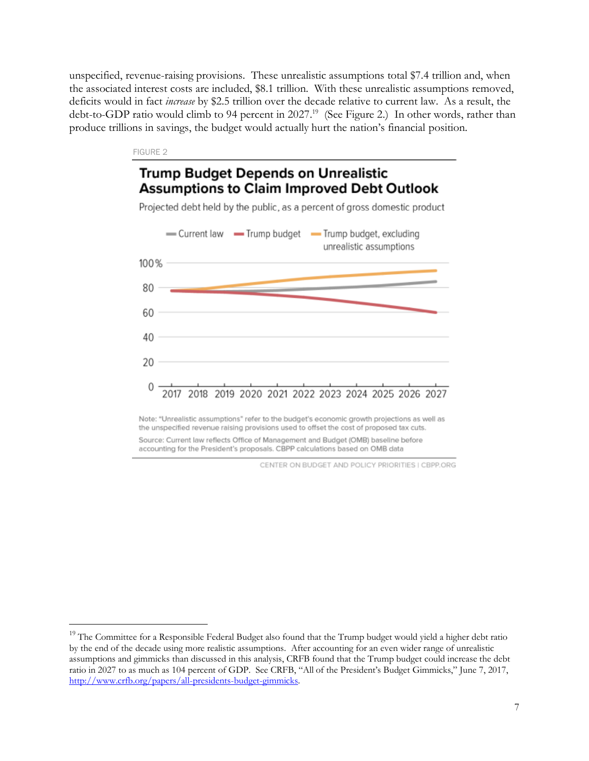unspecified, revenue-raising provisions. These unrealistic assumptions total \$7.4 trillion and, when the associated interest costs are included, \$8.1 trillion. With these unrealistic assumptions removed, deficits would in fact *increase* by \$2.5 trillion over the decade relative to current law. As a result, the debt-to-GDP ratio would climb to 94 percent in 2027. <sup>19</sup> (See Figure 2.) In other words, rather than produce trillions in savings, the budget would actually hurt the nation's financial position.

#### FIGURE 2

 $\overline{a}$ 

### **Trump Budget Depends on Unrealistic Assumptions to Claim Improved Debt Outlook**

Projected debt held by the public, as a percent of gross domestic product



Note: "Unrealistic assumptions" refer to the budget's economic growth projections as well as the unspecified revenue raising provisions used to offset the cost of proposed tax cuts. Source: Current law reflects Office of Management and Budget (OMB) baseline before

accounting for the President's proposals. CBPP calculations based on OMB data

CENTER ON BUDGET AND POLICY PRIORITIES I CBPP.ORG

<sup>&</sup>lt;sup>19</sup> The Committee for a Responsible Federal Budget also found that the Trump budget would yield a higher debt ratio by the end of the decade using more realistic assumptions. After accounting for an even wider range of unrealistic assumptions and gimmicks than discussed in this analysis, CRFB found that the Trump budget could increase the debt ratio in 2027 to as much as 104 percent of GDP. See CRFB, "All of the President's Budget Gimmicks," June 7, 2017, [http://www.crfb.org/papers/all-presidents-budget-gimmicks.](http://www.crfb.org/papers/all-presidents-budget-gimmicks)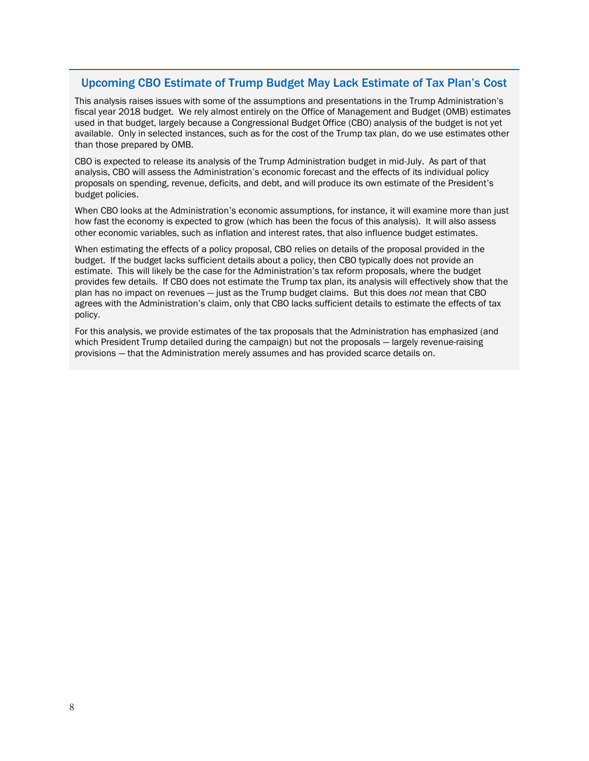#### Upcoming CBO Estimate of Trump Budget May Lack Estimate of Tax Plan's Cost

This analysis raises issues with some of the assumptions and presentations in the Trump Administration's fiscal year 2018 budget. We rely almost entirely on the Office of Management and Budget (OMB) estimates used in that budget, largely because a Congressional Budget Office (CBO) analysis of the budget is not yet available. Only in selected instances, such as for the cost of the Trump tax plan, do we use estimates other than those prepared by OMB.

CBO is expected to release its analysis of the Trump Administration budget in mid-July. As part of that analysis, CBO will assess the Administration's economic forecast and the effects of its individual policy proposals on spending, revenue, deficits, and debt, and will produce its own estimate of the President's budget policies.

When CBO looks at the Administration's economic assumptions, for instance, it will examine more than just how fast the economy is expected to grow (which has been the focus of this analysis). It will also assess other economic variables, such as inflation and interest rates, that also influence budget estimates.

When estimating the effects of a policy proposal, CBO relies on details of the proposal provided in the budget. If the budget lacks sufficient details about a policy, then CBO typically does not provide an estimate. This will likely be the case for the Administration's tax reform proposals, where the budget provides few details. If CBO does not estimate the Trump tax plan, its analysis will effectively show that the plan has no impact on revenues — just as the Trump budget claims. But this does *not* mean that CBO agrees with the Administration's claim, only that CBO lacks sufficient details to estimate the effects of tax policy.

For this analysis, we provide estimates of the tax proposals that the Administration has emphasized (and which President Trump detailed during the campaign) but not the proposals — largely revenue-raising provisions — that the Administration merely assumes and has provided scarce details on.